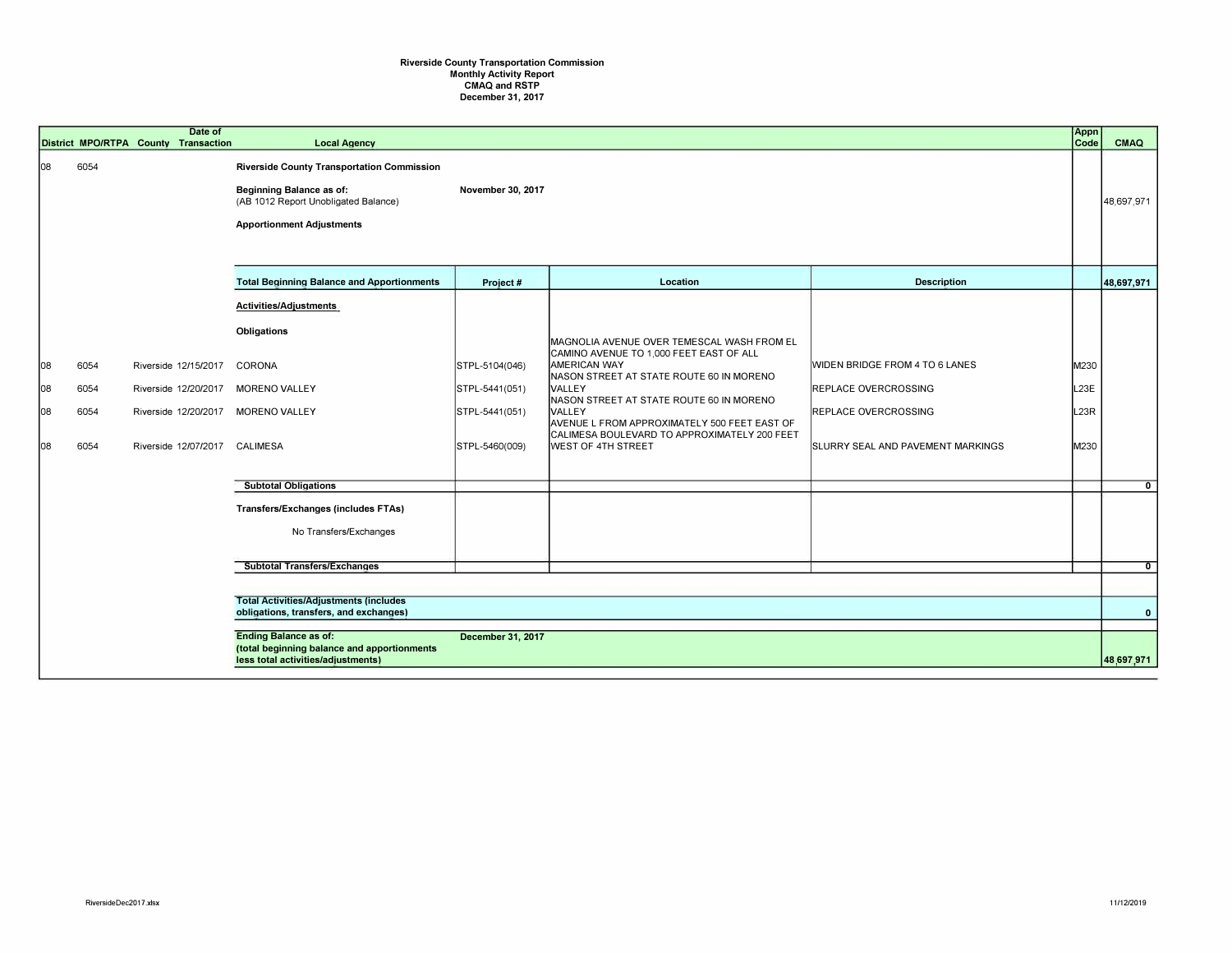## Riverside County Transportation Commission Monthly Activity Report CMAQ and RSTP December 31, 2017

|     |      | Date of<br>District MPO/RTPA County Transaction | <b>Local Agency</b>                                                                                                                                       |                   |                                                                                                       |                                          | Appn<br>Code | CMAQ         |
|-----|------|-------------------------------------------------|-----------------------------------------------------------------------------------------------------------------------------------------------------------|-------------------|-------------------------------------------------------------------------------------------------------|------------------------------------------|--------------|--------------|
| 108 | 6054 |                                                 | <b>Riverside County Transportation Commission</b><br>Beginning Balance as of:<br>(AB 1012 Report Unobligated Balance)<br><b>Apportionment Adjustments</b> | November 30, 2017 |                                                                                                       |                                          |              | 48,697,971   |
|     |      |                                                 | <b>Total Beginning Balance and Apportionments</b>                                                                                                         | Project #         | Location                                                                                              | <b>Description</b>                       |              | 48,697,971   |
|     |      |                                                 | Activities/Adjustments                                                                                                                                    |                   |                                                                                                       |                                          |              |              |
|     |      |                                                 | Obligations                                                                                                                                               |                   | MAGNOLIA AVENUE OVER TEMESCAL WASH FROM EL                                                            |                                          |              |              |
| 08  | 6054 | Riverside 12/15/2017                            | CORONA                                                                                                                                                    | STPL-5104(046)    | CAMINO AVENUE TO 1,000 FEET EAST OF ALL<br><b>AMERICAN WAY</b>                                        | WIDEN BRIDGE FROM 4 TO 6 LANES           | M230         |              |
| 08  | 6054 | Riverside 12/20/2017                            | <b>MORENO VALLEY</b>                                                                                                                                      | STPL-5441(051)    | NASON STREET AT STATE ROUTE 60 IN MORENO<br><b>VALLEY</b><br>NASON STREET AT STATE ROUTE 60 IN MORENO | <b>REPLACE OVERCROSSING</b>              | L23E         |              |
| 108 | 6054 | Riverside 12/20/2017                            | <b>MORENO VALLEY</b>                                                                                                                                      | STPL-5441(051)    | <b>IVALLEY</b><br>AVENUE L FROM APPROXIMATELY 500 FEET EAST OF                                        | <b>REPLACE OVERCROSSING</b>              | L23R         |              |
| 108 | 6054 | Riverside 12/07/2017 CALIMESA                   |                                                                                                                                                           | STPL-5460(009)    | CALIMESA BOULEVARD TO APPROXIMATELY 200 FEET<br><b>WEST OF 4TH STREET</b>                             | <b>SLURRY SEAL AND PAVEMENT MARKINGS</b> | M230         |              |
|     |      |                                                 | <b>Subtotal Obligations</b>                                                                                                                               |                   |                                                                                                       |                                          |              | $\mathbf{0}$ |
|     |      |                                                 | <b>Transfers/Exchanges (includes FTAs)</b>                                                                                                                |                   |                                                                                                       |                                          |              |              |
|     |      |                                                 | No Transfers/Exchanges                                                                                                                                    |                   |                                                                                                       |                                          |              |              |
|     |      |                                                 | <b>Subtotal Transfers/Exchanges</b>                                                                                                                       |                   |                                                                                                       |                                          |              | $\mathbf{0}$ |
|     |      |                                                 |                                                                                                                                                           |                   |                                                                                                       |                                          |              |              |
|     |      |                                                 | <b>Total Activities/Adjustments (includes</b><br>obligations, transfers, and exchanges)                                                                   |                   |                                                                                                       |                                          |              | $\mathbf{0}$ |
|     |      |                                                 |                                                                                                                                                           |                   |                                                                                                       |                                          |              |              |
|     |      |                                                 | <b>Ending Balance as of:</b><br>(total beginning balance and apportionments<br>less total activities/adjustments)                                         | December 31, 2017 |                                                                                                       |                                          |              | 48,697,971   |